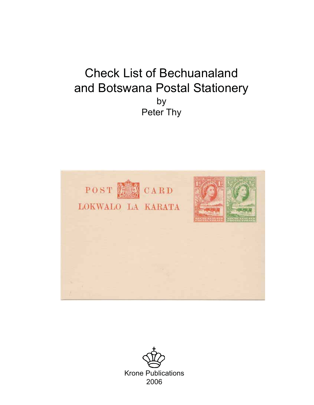# Check List of Bechuanaland and Botswana Postal Stationery by Peter Thy



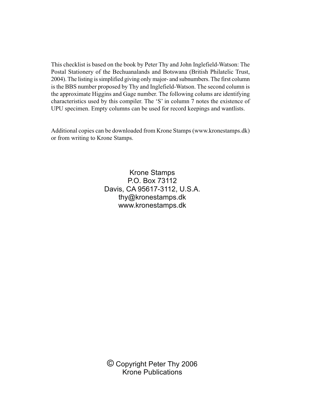This checklist is based on the book by Peter Thy and John Inglefield-Watson: The Postal Stationery of the Bechuanalands and Botswana (British Philatelic Trust, 2004). The listing is simplified giving only major- and subnumbers. The first column is the BBS number proposed by Thy and Inglefield-Watson. The second column is the approximate Higgins and Gage number. The following colums are identifying characteristics used by this compiler. The 'S' in column 7 notes the existence of UPU specimen. Empty columns can be used for record keepings and wantlists.

Additional copies can be downloaded from Krone Stamps (www.kronestamps.dk) or from writing to Krone Stamps.

> Krone Stamps P.O. Box 73112 Davis, CA 95617-3112, U.S.A. thy@kronestamps.dk www.kronestamps.dk

© Copyright Peter Thy 2006 Krone Publications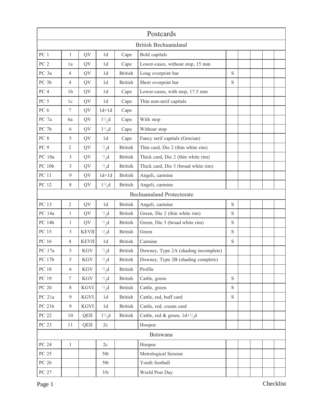|                                  |                  |              |                |                | Postcards                            |             |  |  |  |  |  |  |
|----------------------------------|------------------|--------------|----------------|----------------|--------------------------------------|-------------|--|--|--|--|--|--|
| <b>British Bechuanaland</b>      |                  |              |                |                |                                      |             |  |  |  |  |  |  |
| PC <sub>1</sub>                  | $\mathbf{1}$     | QV           | 1 <sub>d</sub> | Cape           | Bold capitals                        |             |  |  |  |  |  |  |
| PC <sub>2</sub>                  | 1a               | QV           | 1 <sub>d</sub> | Cape           | Lower-cases, without stop, 15 mm     |             |  |  |  |  |  |  |
| PC 3a                            | $\overline{4}$   | QV           | 1d             | <b>British</b> | Long overprint bar                   | S           |  |  |  |  |  |  |
| PC <sub>3b</sub>                 | $\overline{4}$   | QV           | 1 <sub>d</sub> | <b>British</b> | Short overprint bar                  | S           |  |  |  |  |  |  |
| PC <sub>4</sub>                  | 1 <sub>b</sub>   | QV           | 1 <sub>d</sub> | Cape           | Lower-cases, with stop, 17.5 mm      |             |  |  |  |  |  |  |
| PC <sub>5</sub>                  | 1c               | QV           | 1 <sub>d</sub> | Cape           | Thin non-serif capitals              |             |  |  |  |  |  |  |
| PC <sub>6</sub>                  | $\boldsymbol{7}$ | QV           | $1d+1d$        | Cape           |                                      |             |  |  |  |  |  |  |
| PC 7a                            | 6a               | QV           | $1^{1}/_{2}d$  | Cape           | With stop                            |             |  |  |  |  |  |  |
| PC 7b                            | 6                | QV           | $1^{1}/_{2}d$  | Cape           | Without stop                         |             |  |  |  |  |  |  |
| PC 8                             | 5                | QV           | 1 <sub>d</sub> | Cape           | Fancy serif capitals (Grecian)       |             |  |  |  |  |  |  |
| PC <sub>9</sub>                  | $\overline{2}$   | QV           | $^{1/2}$       | <b>British</b> | Thin card, Die 2 (thin white rim)    |             |  |  |  |  |  |  |
| PC 10a                           | 3                | QV           | $^{1/2}$       | <b>British</b> | Thick card, Die 2 (thin white rim)   |             |  |  |  |  |  |  |
| <b>PC 10b</b>                    | 3                | QV           | $^{1}/_{2}d$   | <b>British</b> | Thick card, Die 3 (broad white rim)  |             |  |  |  |  |  |  |
| <b>PC 11</b>                     | 9                | QV           | $1d+1d$        | <b>British</b> | Angeli, carmine                      |             |  |  |  |  |  |  |
| PC 12                            | 8                | QV           | $1^{1}/2d$     | <b>British</b> | Angeli, carmine                      |             |  |  |  |  |  |  |
| <b>Bechuanaland Protectorate</b> |                  |              |                |                |                                      |             |  |  |  |  |  |  |
| PC 13                            | $\overline{2}$   | QV           | 1 <sub>d</sub> | <b>British</b> | Angeli, carmine                      | $\mathbf S$ |  |  |  |  |  |  |
| PC 14a                           | $\mathbf{1}$     | QV           | $^{1/2}$ , d   | <b>British</b> | Green, Die 2 (thin white rim)        | $\mathbf S$ |  |  |  |  |  |  |
| PC 14b                           | $\mathbf{1}$     | QV           | $^{1}/_{2}d$   | <b>British</b> | Green, Die 3 (broad white rim)       | S           |  |  |  |  |  |  |
| PC 15                            | 3                | <b>KEVII</b> | $^{1/2}d$      | <b>British</b> | Green                                | S           |  |  |  |  |  |  |
| PC 16                            | $\overline{4}$   | <b>KEVII</b> | 1 <sub>d</sub> | <b>British</b> | Carmine                              | $\mathbf S$ |  |  |  |  |  |  |
| PC 17a                           | 5                | <b>KGV</b>   | $^{1/2}d$      | <b>British</b> | Downey, Type 2A (shading incomplete) |             |  |  |  |  |  |  |
| PC 17b                           | 5                | <b>KGV</b>   | $^{1/2}$ , d   | <b>British</b> | Downey, Type 2B (shading complete)   |             |  |  |  |  |  |  |
| <b>PC 18</b>                     | 6                | KGV          | $^{1}/_{2}d$   | <b>British</b> | Profile                              |             |  |  |  |  |  |  |
| PC 19                            | $7\phantom{.0}$  | KGV          | $^{1/2}$       | <b>British</b> | Cattle, green                        | S           |  |  |  |  |  |  |
| $PC$ $20\,$                      | 8                | KGVI         | $^{1/2}$       | <b>British</b> | Cattle, green                        | S           |  |  |  |  |  |  |
| PC 21a                           | 9                | KGVI         | 1d             | <b>British</b> | Cattle, red, buff card               | S           |  |  |  |  |  |  |
| PC 21b                           | 9                | <b>KGVI</b>  | 1d             | <b>British</b> | Cattle, red, cream card              |             |  |  |  |  |  |  |
| PC 22                            | 10               | QEII         | $1^{1}/2$ ,d   | <b>British</b> | Cattle, red & green, $1d+1/2d$       |             |  |  |  |  |  |  |
| PC 23                            | 11               | QEII         | 2c             |                | Hoopoe                               |             |  |  |  |  |  |  |
|                                  |                  |              |                |                | Botswana                             |             |  |  |  |  |  |  |
| PC 24                            | $\mathbf{1}$     |              | 2c             |                | Hoopoe                               |             |  |  |  |  |  |  |
| PC 25                            |                  |              | 50t            |                | Metrological Session                 |             |  |  |  |  |  |  |
| PC 26                            |                  |              | 50t            |                | Youth football                       |             |  |  |  |  |  |  |
| PC 27                            |                  |              | 35t            |                | World Post Day                       |             |  |  |  |  |  |  |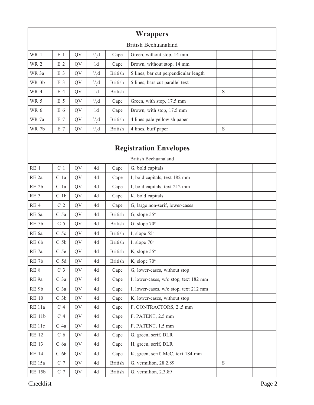| <b>Wrappers</b>      |                |    |                |                |                                       |   |  |  |  |  |  |  |
|----------------------|----------------|----|----------------|----------------|---------------------------------------|---|--|--|--|--|--|--|
| British Bechuanaland |                |    |                |                |                                       |   |  |  |  |  |  |  |
| WR 1                 | E <sub>1</sub> | QV | $^{1/2}$ , d   | Cape           | Green, without stop, 14 mm            |   |  |  |  |  |  |  |
| WR <sub>2</sub>      | E <sub>2</sub> | QV | 1 <sub>d</sub> | Cape           | Brown, without stop, 14 mm            |   |  |  |  |  |  |  |
| WR 3a                | E <sub>3</sub> | QV | $^{1/2}$       | <b>British</b> | 5 lines, bar cut perpendicular length |   |  |  |  |  |  |  |
| WR 3b                | E <sub>3</sub> | QV | $^{1}/_{2}d$   | <b>British</b> | 5 lines, bars cut parallel text       |   |  |  |  |  |  |  |
| WR 4                 | E <sub>4</sub> | QV | 1 <sub>d</sub> | <b>British</b> |                                       | S |  |  |  |  |  |  |
| WR 5                 | E 5            | QV | $^{1}/_{2}d$   | Cape           | Green, with stop, 17.5 mm             |   |  |  |  |  |  |  |
| WR 6                 | E <sub>6</sub> | QV | 1 <sub>d</sub> | Cape           | Brown, with stop, 17.5 mm             |   |  |  |  |  |  |  |
| WR 7a                | E 7            | QV | $^{1/2}$       | <b>British</b> | 4 lines pale yellowish paper          |   |  |  |  |  |  |  |
| WR 7b                | E <sub>7</sub> | QV | $^{1/2}$ , d   | <b>British</b> | 4 lines, buff paper                   | S |  |  |  |  |  |  |

## **Registration Envelopes**

|                   |                 |    |    |                | <b>British Bechuanaland</b>           |   |  |  |
|-------------------|-----------------|----|----|----------------|---------------------------------------|---|--|--|
| RE <sub>1</sub>   | C <sub>1</sub>  | QV | 4d | Cape           | G, bold capitals                      |   |  |  |
| RE <sub>2a</sub>  | C <sub>1a</sub> | QV | 4d | Cape           | I, bold capitals, text 182 mm         |   |  |  |
| RE <sub>2b</sub>  | C <sub>1a</sub> | QV | 4d | Cape           | I, bold capitals, text 212 mm         |   |  |  |
| RE <sub>3</sub>   | C <sub>1b</sub> | QV | 4d | Cape           | K, bold capitals                      |   |  |  |
| RE <sub>4</sub>   | C <sub>2</sub>  | QV | 4d | Cape           | G, large non-serif, lower-cases       |   |  |  |
| RE <sub>5a</sub>  | C <sub>5a</sub> | QV | 4d | <b>British</b> | G, slope $55^\circ$                   |   |  |  |
| RE 5b             | C <sub>5</sub>  | QV | 4d | <b>British</b> | G, slope $70^\circ$                   |   |  |  |
| RE 6a             | $C$ 5 $c$       | QV | 4d | <b>British</b> | I, slope $55^\circ$                   |   |  |  |
| RE 6b             | C <sub>5b</sub> | QV | 4d | <b>British</b> | I, slope $70^\circ$                   |   |  |  |
| RE <sub>7a</sub>  | C 5e            | QV | 4d | <b>British</b> | K, slope 55°                          |   |  |  |
| RE <sub>7b</sub>  | C <sub>5d</sub> | QV | 4d | <b>British</b> | K, slope 70°                          |   |  |  |
| RE 8              | C <sub>3</sub>  | QV | 4d | Cape           | G, lower-cases, without stop          |   |  |  |
| RE 9a             | C <sub>3a</sub> | QV | 4d | Cape           | I, lower-cases, w/o stop, text 182 mm |   |  |  |
| RE 9b             | C <sub>3a</sub> | QV | 4d | Cape           | I, lower-cases, w/o stop, text 212 mm |   |  |  |
| <b>RE 10</b>      | C <sub>3b</sub> | QV | 4d | Cape           | K, lower-cases, without stop          |   |  |  |
| RE <sub>11a</sub> | C <sub>4</sub>  | QV | 4d | Cape           | F, CONTRACTORS, 25 mm                 |   |  |  |
| <b>RE 11b</b>     | C <sub>4</sub>  | QV | 4d | Cape           | F, PATENT, 2.5 mm                     |   |  |  |
| RE <sub>11c</sub> | $C$ 4a          | QV | 4d | Cape           | F, PATENT, 1.5 mm                     |   |  |  |
| <b>RE 12</b>      | C <sub>6</sub>  | QV | 4d | Cape           | G, green, serif, DLR                  |   |  |  |
| <b>RE 13</b>      | C 6a            | QV | 4d | Cape           | H, green, serif, DLR                  |   |  |  |
| <b>RE 14</b>      | C <sub>6b</sub> | QV | 4d | Cape           | K, green, serif, McC, text 184 mm     |   |  |  |
| <b>RE</b> 15a     | C <sub>7</sub>  | QV | 4d | <b>British</b> | G, vermilion, 28.2.89                 | S |  |  |
| <b>RE 15b</b>     | $C$ 7           | QV | 4d | <b>British</b> | G, vermilion, 2.3.89                  |   |  |  |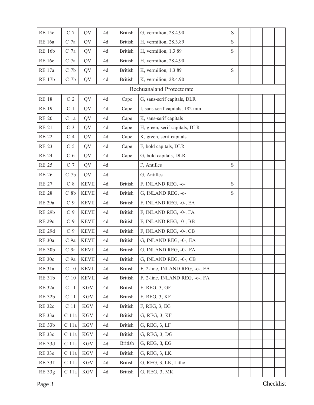| <b>RE 15c</b>     | $C$ 7            | QV           | 4d | <b>British</b> | G, vermilion, 28.4.90            | $\mathbf S$ |  |  |
|-------------------|------------------|--------------|----|----------------|----------------------------------|-------------|--|--|
| <b>RE</b> 16a     | C <sub>7a</sub>  | QV           | 4d | <b>British</b> | H, vermilion, 28.3.89            | S           |  |  |
| <b>RE 16b</b>     | C <sub>7a</sub>  | QV           | 4d | <b>British</b> | H, vermilion, 1.3.89             | ${\bf S}$   |  |  |
| <b>RE</b> 16c     | C <sub>7a</sub>  | QV           | 4d | <b>British</b> | H, vermilion, 28.4.90            |             |  |  |
| <b>RE</b> 17a     | C <sub>7b</sub>  | QV           | 4d | <b>British</b> | K, vermilion, 1.3.89             | ${\bf S}$   |  |  |
| <b>RE 17b</b>     | C <sub>7b</sub>  | QV           | 4d | <b>British</b> | K, vermilion, 28.4.90            |             |  |  |
|                   |                  |              |    |                | <b>Bechuanaland Protectorate</b> |             |  |  |
| <b>RE 18</b>      | C <sub>2</sub>   | QV           | 4d | Cape           | G, sans-serif capitals, DLR      |             |  |  |
| <b>RE 19</b>      | C <sub>1</sub>   | QV           | 4d | Cape           | I, sans-serif capitals, 182 mm   |             |  |  |
| <b>RE 20</b>      | C <sub>1a</sub>  | QV           | 4d | Cape           | K, sans-serif capitals           |             |  |  |
| <b>RE 21</b>      | C <sub>3</sub>   | QV           | 4d | Cape           | H, green, serif capitals, DLR    |             |  |  |
| <b>RE 22</b>      | C <sub>4</sub>   | QV           | 4d | Cape           | K, green, serif capitals         |             |  |  |
| <b>RE 23</b>      | C <sub>5</sub>   | QV           | 4d | Cape           | F, bold capitals, DLR            |             |  |  |
| <b>RE 24</b>      | C <sub>6</sub>   | QV           | 4d | Cape           | G, bold capitals, DLR            |             |  |  |
| <b>RE 25</b>      | C <sub>7</sub>   | QV           | 4d |                | F, Antilles                      | ${\bf S}$   |  |  |
| <b>RE 26</b>      | C <sub>7b</sub>  | QV           | 4d |                | G, Antilles                      |             |  |  |
| <b>RE 27</b>      | $C_8$            | <b>KEVII</b> | 4d | <b>British</b> | F, INLAND REG, -0-               | ${\bf S}$   |  |  |
| <b>RE 28</b>      | $C_8b$           | <b>KEVII</b> | 4d | <b>British</b> | G, INLAND REG, -0-               | $\mathbf S$ |  |  |
| RE <sub>29a</sub> | C <sub>9</sub>   | <b>KEVII</b> | 4d | <b>British</b> | F, INLAND REG, -0-, EA           |             |  |  |
| <b>RE 29b</b>     | C <sub>9</sub>   | <b>KEVII</b> | 4d | <b>British</b> | F, INLAND REG, -0-, FA           |             |  |  |
| RE <sub>29c</sub> | C <sub>9</sub>   | <b>KEVII</b> | 4d | <b>British</b> | F, INLAND REG, -0-, BB           |             |  |  |
| <b>RE 29d</b>     | C <sub>9</sub>   | <b>KEVII</b> | 4d | <b>British</b> | F, INLAND REG, -0-, CB           |             |  |  |
| RE <sub>30a</sub> | C 9a             | <b>KEVII</b> | 4d | <b>British</b> | G, INLAND REG, -0-, EA           |             |  |  |
| <b>RE 30b</b>     | C <sub>9a</sub>  | <b>KEVII</b> | 4d | <b>British</b> | G, INLAND REG, -0-, FA           |             |  |  |
| RE 30c            | C <sub>9a</sub>  | <b>KEVII</b> | 4d | <b>British</b> | G, INLAND REG, -0-, CB           |             |  |  |
| <b>RE 31a</b>     | $\rm C$ 10       | <b>KEVII</b> | 4d | <b>British</b> | F, 2-line, INLAND REG, -o-, EA   |             |  |  |
| <b>RE 31b</b>     | C <sub>10</sub>  | <b>KEVII</b> | 4d | <b>British</b> | F, 2-line, INLAND REG, -o-, FA   |             |  |  |
| <b>RE 32a</b>     | C <sub>11</sub>  | <b>KGV</b>   | 4d | <b>British</b> | F, REG, 3, GF                    |             |  |  |
| <b>RE 32b</b>     | C <sub>11</sub>  | <b>KGV</b>   | 4d | <b>British</b> | F, REG, 3, KF                    |             |  |  |
| <b>RE 32c</b>     | C <sub>11</sub>  | <b>KGV</b>   | 4d | <b>British</b> | F, REG, 3, EG                    |             |  |  |
| RE 33a            | C 11a            | <b>KGV</b>   | 4d | <b>British</b> | G, REG, 3, KF                    |             |  |  |
| <b>RE 33b</b>     | C <sub>11a</sub> | <b>KGV</b>   | 4d | <b>British</b> | G, REG, 3, LF                    |             |  |  |
| RE 33c            | C 11a            | <b>KGV</b>   | 4d | <b>British</b> | G, REG, 3, DG                    |             |  |  |
| <b>RE 33d</b>     | C 11a            | <b>KGV</b>   | 4d | <b>British</b> | G, REG, 3, EG                    |             |  |  |
| RE 33e            | C 11a            | <b>KGV</b>   | 4d | <b>British</b> | G, REG, 3, LK                    |             |  |  |
| <b>RE 33f</b>     | C 11a            | <b>KGV</b>   | 4d | <b>British</b> | G, REG, 3, LK, Litho             |             |  |  |
| <b>RE 33g</b>     | C 11a            | <b>KGV</b>   | 4d | <b>British</b> | G, REG, 3, MK                    |             |  |  |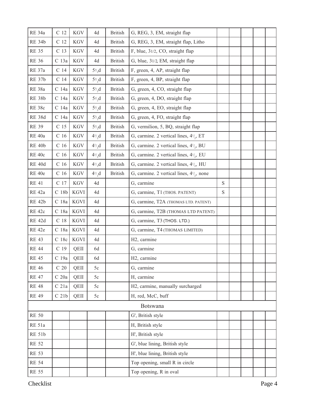| <b>RE 34a</b> | $\rm C$ 12       | <b>KGV</b>  | 4d                | <b>British</b> | G, REG, 3, EM, straight flap                                     |             |  |  |
|---------------|------------------|-------------|-------------------|----------------|------------------------------------------------------------------|-------------|--|--|
| <b>RE 34b</b> | C <sub>12</sub>  | <b>KGV</b>  | 4d                | <b>British</b> | G, REG, 3, EM, straight flap, Litho                              |             |  |  |
| <b>RE 35</b>  | C <sub>13</sub>  | <b>KGV</b>  | 4d                | <b>British</b> | F, blue, 31/2, CO, straight flap                                 |             |  |  |
| <b>RE 36</b>  | C 13a            | <b>KGV</b>  | 4d                | <b>British</b> | G, blue, 31/2, EM, straight flap                                 |             |  |  |
| RE 37a        | C <sub>14</sub>  | <b>KGV</b>  | $5\frac{1}{2}d$   | <b>British</b> | F, green, 4, AP, straight flap                                   |             |  |  |
| <b>RE 37b</b> | C <sub>14</sub>  | KGV         | $5\frac{1}{2}d$   | <b>British</b> | F, green, 4, BP, straight flap                                   |             |  |  |
| RE 38a        | C 14a            | <b>KGV</b>  | $5^{1/2}$ d       | <b>British</b> | G, green, 4, CO, straight flap                                   |             |  |  |
| <b>RE 38b</b> | C 14a            | <b>KGV</b>  | $5\frac{1}{2}d$   | <b>British</b> | G, green, 4, DO, straight flap                                   |             |  |  |
| <b>RE 38c</b> | C 14a            | KGV         | $5^{\frac{1}{2}}$ | <b>British</b> | G, green, 4, EO, straight flap                                   |             |  |  |
| <b>RE 38d</b> | C 14a            | <b>KGV</b>  | $5^{1/2}$ d       | <b>British</b> | G, green, 4, FO, straight flap                                   |             |  |  |
| <b>RE 39</b>  | C 15             | KGV         | $5\frac{\pi}{6}$  | <b>British</b> | G, vermilion, 5, BQ, straight flap                               |             |  |  |
| RE 40a        | C <sub>16</sub>  | <b>KGV</b>  | $4^{1/2}$         | <b>British</b> | G, carmine. 2 vertical lines, $4\frac{1}{2}$ , ET                |             |  |  |
| <b>RE 40b</b> | C <sub>16</sub>  | <b>KGV</b>  | $4^{1/2}$ , d     | <b>British</b> | G, carmine. 2 vertical lines, 4 <sup>1</sup> / <sub>2</sub> , BU |             |  |  |
| RE 40c        | C <sub>16</sub>  | <b>KGV</b>  | $4^{1/2}$         | <b>British</b> | G, carmine. 2 vertical lines, $4\frac{1}{2}$ , EU                |             |  |  |
| <b>RE 40d</b> | C <sub>16</sub>  | <b>KGV</b>  | $4^{1/2}$ d       | <b>British</b> | G, carmine. 2 vertical lines, $4\frac{1}{2}$ , HU                |             |  |  |
| RE 40e        | $\rm C$ 16       | <b>KGV</b>  | $4^{1/2}$         | <b>British</b> | G, carmine. 2 vertical lines, $4\frac{1}{2}$ , none              |             |  |  |
| <b>RE 41</b>  | C 17             | <b>KGV</b>  | 4d                |                | G, carmine                                                       | $\mathbf S$ |  |  |
| <b>RE</b> 42a | C <sub>18b</sub> | <b>KGVI</b> | 4d                |                | G, carmine, T1 (THOS. PATENT)                                    | $\mathbf S$ |  |  |
| <b>RE 42b</b> | C 18a            | <b>KGVI</b> | 4d                |                | G, carmine, T2A (THOMAS LTD. PATENT)                             |             |  |  |
| <b>RE 42c</b> | C 18a            | <b>KGVI</b> | 4d                |                | G, carmine, T2B (THOMAS LTD PATENT)                              |             |  |  |
| <b>RE 42d</b> | C <sub>18</sub>  | <b>KGVI</b> | 4d                |                | G, carmine, T3 (THOS. LTD.)                                      |             |  |  |
| <b>RE</b> 42e | C 18a            | <b>KGVI</b> | 4d                |                | G, carmine, T4 (THOMAS LIMITED)                                  |             |  |  |
| <b>RE 43</b>  | C <sub>18c</sub> | <b>KGVI</b> | 4d                |                | H2, carmine                                                      |             |  |  |
| <b>RE 44</b>  | C <sub>19</sub>  | QEII        | 6d                |                | G, carmine                                                       |             |  |  |
| <b>RE 45</b>  | C 19a            | QEII        | 6d                |                | H2, carmine                                                      |             |  |  |
| <b>RE 46</b>  | C <sub>20</sub>  | QEII        | 5c                |                | G, carmine                                                       |             |  |  |
| <b>RE 47</b>  | C <sub>20a</sub> | QEII        | 5c                |                | H, carmine                                                       |             |  |  |
| <b>RE 48</b>  | C <sub>21a</sub> | QEII        | 5c                |                | H2, carmine, manually surcharged                                 |             |  |  |
| <b>RE 49</b>  | C <sub>21b</sub> | QEII        | 5c                |                | H, red, McC, buff                                                |             |  |  |
|               |                  |             |                   |                | <b>Botswana</b>                                                  |             |  |  |
| <b>RE 50</b>  |                  |             |                   |                | G', British style                                                |             |  |  |
| <b>RE 51a</b> |                  |             |                   |                | H, British style                                                 |             |  |  |
| <b>RE 51b</b> |                  |             |                   |                | H', British style                                                |             |  |  |
| <b>RE 52</b>  |                  |             |                   |                | G', blue lining, British style                                   |             |  |  |
| <b>RE 53</b>  |                  |             |                   |                | H', blue lining, British style                                   |             |  |  |
| <b>RE 54</b>  |                  |             |                   |                | Top opening, small R in circle                                   |             |  |  |
| <b>RE 55</b>  |                  |             |                   |                | Top opening, R in oval                                           |             |  |  |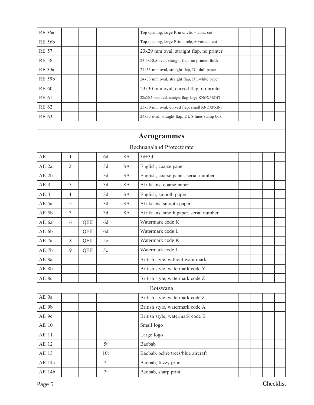| <b>RE</b> 56a   |                |      |     |           | Top opening, large R in circle, + cont. cut      |  |  |  |
|-----------------|----------------|------|-----|-----------|--------------------------------------------------|--|--|--|
| <b>RE 56b</b>   |                |      |     |           | Top opening, large R in circle, + vertical cut   |  |  |  |
| <b>RE 57</b>    |                |      |     |           | 23x29 mm oval, straight flap, no printer         |  |  |  |
| <b>RE 58</b>    |                |      |     |           | 23.5x30.5 oval, straight flap, no printer, thick |  |  |  |
| <b>RE 59a</b>   |                |      |     |           | 24x33 mm oval, straight flap, DI, dull paper     |  |  |  |
| <b>RE 59b</b>   |                |      |     |           | 24x33 mm oval, straight flap, DI, white paper    |  |  |  |
| <b>RE 60</b>    |                |      |     |           | 23x30 mm oval, curved flap, no printer           |  |  |  |
| <b>RE 61</b>    |                |      |     |           | 22x30.5 mm oval, straight flap, large KNOXPRINT  |  |  |  |
| <b>RE 62</b>    |                |      |     |           | 23x30 mm oval, curved flap, small KNOXPRINT      |  |  |  |
| <b>RE 63</b>    |                |      |     |           | 24x33 oval, straight flap, DI, 8 lines stamp box |  |  |  |
|                 |                |      |     |           |                                                  |  |  |  |
|                 |                |      |     |           | <b>Aerogrammes</b>                               |  |  |  |
|                 |                |      |     |           | <b>Bechuanaland Protectorate</b>                 |  |  |  |
| AE 1            | $\mathbf{1}$   |      | 6d  | <b>SA</b> | $3d+3d$                                          |  |  |  |
| AE 2a           | $\overline{2}$ |      | 3d  | <b>SA</b> | English, coarse paper                            |  |  |  |
| AE 2b           |                |      | 3d  | <b>SA</b> | English, coarse paper, serial number             |  |  |  |
| AE <sub>3</sub> | 3              |      | 3d  | <b>SA</b> | Afrikaans, coarse paper                          |  |  |  |
| AE <sub>4</sub> | 4              |      | 3d  | <b>SA</b> | English, smooth paper                            |  |  |  |
| AE 5a           | 5              |      | 3d  | <b>SA</b> | Afrikaans, smooth paper                          |  |  |  |
| AE 5b           | $\tau$         |      | 3d  | <b>SA</b> | Afrikaans, smoth paper, serial number            |  |  |  |
| AE 6a           | 6              | QEII | 6d  |           | Watermark code K                                 |  |  |  |
| AE 6b           |                | QEII | 6d  |           | Watermark code L                                 |  |  |  |
| AE 7a           | 8              | QEII | 5c  |           | Watermark code K                                 |  |  |  |
| AE 7b           | 9              | QEII | 5c  |           | Watermark code L                                 |  |  |  |
| AE 8a           |                |      |     |           | British style, without watermark                 |  |  |  |
| AE 8b           |                |      |     |           | British style, watermark code Y                  |  |  |  |
| AE 8c           |                |      |     |           | British style, watermark code Z                  |  |  |  |
|                 |                |      |     |           | Botswana                                         |  |  |  |
| AE 9a           |                |      |     |           | British style, watermark code Z                  |  |  |  |
| AE 9b           |                |      |     |           | British style, watermark code A                  |  |  |  |
| AE 9c           |                |      |     |           | British style, watermark code B                  |  |  |  |
| <b>AE 10</b>    |                |      |     |           | Small logo                                       |  |  |  |
| <b>AE 11</b>    |                |      |     |           | Large logo                                       |  |  |  |
| AE 12           |                |      | 5t  |           | Baobab                                           |  |  |  |
| AE 13           |                |      | 10t |           | Baobab. ochre trees/blue aircraft                |  |  |  |
| AE 14a          |                |      | 7t  |           | Baobab, fuzzy print                              |  |  |  |
| AE 14b          |                |      | 7t  |           | Baobab, sharp print                              |  |  |  |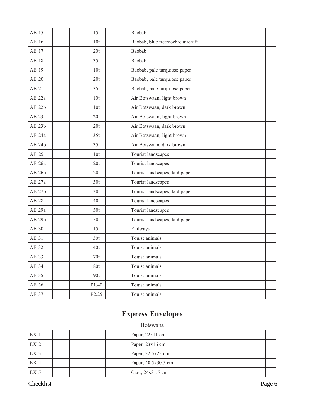| AE 15               |  | 15t               | Baobab                            |  |  |  |
|---------------------|--|-------------------|-----------------------------------|--|--|--|
| AE 16               |  | 10t               | Baobab, blue trees/ochre aircraft |  |  |  |
| <b>AE 17</b>        |  | 20t               | Baobab                            |  |  |  |
| <b>AE 18</b>        |  | 35t               | Baobab                            |  |  |  |
| AE 19               |  | 10t               | Baobab, pale turquiose paper      |  |  |  |
| AE 20               |  | 20t               | Baobab, pale turquiose paper      |  |  |  |
| AE 21               |  | 35t               | Baobab, pale turquiose paper      |  |  |  |
| AE 22a              |  | 10 <sub>t</sub>   | Air Botswaan, light brown         |  |  |  |
| AE 22b              |  | 10 <sub>t</sub>   | Air Botswaan, dark brown          |  |  |  |
| AE 23a              |  | 20t               | Air Botswaan, light brown         |  |  |  |
| AE 23b              |  | 20t               | Air Botswaan, dark brown          |  |  |  |
| AE 24a              |  | 35t               | Air Botswaan, light brown         |  |  |  |
| AE 24b              |  | 35t               | Air Botswaan, dark brown          |  |  |  |
| AE 25               |  | 10 <sub>t</sub>   | Tourist landscapes                |  |  |  |
| AE 26a              |  | 20t               | Tourist landscapes                |  |  |  |
| AE 26b              |  | 20t               | Tourist landscapes, laid paper    |  |  |  |
| AE 27a              |  | 30 <sub>t</sub>   | Tourist landscapes                |  |  |  |
| AE 27b              |  | 30 <sub>t</sub>   | Tourist landscapes, laid paper    |  |  |  |
| <b>AE 28</b>        |  | 40t               | Tourist landscapes                |  |  |  |
| AE 29a              |  | 50t               | Tourist landscapes                |  |  |  |
| AE 29b              |  | 50t               | Tourist landscapes, laid paper    |  |  |  |
| AE 30               |  | 15t               | Railways                          |  |  |  |
| AE 31               |  | 30 <sub>t</sub>   | Touist animals                    |  |  |  |
| AE 32               |  | 40t               | Touist animals                    |  |  |  |
| AE 33               |  | $70t$             | Touist animals                    |  |  |  |
| AE 34               |  | 80t               | Touist animals                    |  |  |  |
| AE 35               |  | 90t               | Touist animals                    |  |  |  |
| AE 36               |  | P1.40             | Touist animals                    |  |  |  |
| AE 37               |  | P <sub>2.25</sub> | Touist animals                    |  |  |  |
|                     |  |                   |                                   |  |  |  |
|                     |  |                   | <b>Express Envelopes</b>          |  |  |  |
|                     |  |                   | Botswana                          |  |  |  |
| $\mathop{\rm EX}$ 1 |  |                   | Paper, 22x11 cm                   |  |  |  |
| $EX$ 2              |  |                   | Paper, 23x16 cm                   |  |  |  |
| $\mathop{\rm EX}$ 3 |  |                   | Paper, 32.5x23 cm                 |  |  |  |
| $\mathop{\rm EX}$ 4 |  |                   | Paper, 40.5x30.5 cm               |  |  |  |
| EX <sub>5</sub>     |  |                   | Card, 24x31.5 cm                  |  |  |  |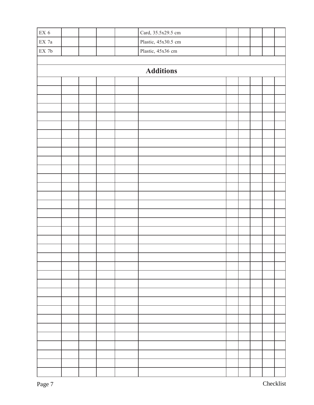| $\mathop{\rm EX}\nolimits$ 6  |                  |  |  |  | Card, 35.5x29.5 cm  |  |  |  |  |  |  |  |  |  |
|-------------------------------|------------------|--|--|--|---------------------|--|--|--|--|--|--|--|--|--|
| $\mathop{\rm EX}\nolimits$ 7a |                  |  |  |  | Plastic, 45x30.5 cm |  |  |  |  |  |  |  |  |  |
| $\mathop{\rm EX}\nolimits$ 7b |                  |  |  |  | Plastic, 45x36 cm   |  |  |  |  |  |  |  |  |  |
|                               |                  |  |  |  |                     |  |  |  |  |  |  |  |  |  |
|                               | <b>Additions</b> |  |  |  |                     |  |  |  |  |  |  |  |  |  |
|                               |                  |  |  |  |                     |  |  |  |  |  |  |  |  |  |
|                               |                  |  |  |  |                     |  |  |  |  |  |  |  |  |  |
|                               |                  |  |  |  |                     |  |  |  |  |  |  |  |  |  |
|                               |                  |  |  |  |                     |  |  |  |  |  |  |  |  |  |
|                               |                  |  |  |  |                     |  |  |  |  |  |  |  |  |  |
|                               |                  |  |  |  |                     |  |  |  |  |  |  |  |  |  |
|                               |                  |  |  |  |                     |  |  |  |  |  |  |  |  |  |
|                               |                  |  |  |  |                     |  |  |  |  |  |  |  |  |  |
|                               |                  |  |  |  |                     |  |  |  |  |  |  |  |  |  |
|                               |                  |  |  |  |                     |  |  |  |  |  |  |  |  |  |
|                               |                  |  |  |  |                     |  |  |  |  |  |  |  |  |  |
|                               |                  |  |  |  |                     |  |  |  |  |  |  |  |  |  |
|                               |                  |  |  |  |                     |  |  |  |  |  |  |  |  |  |
|                               |                  |  |  |  |                     |  |  |  |  |  |  |  |  |  |
|                               |                  |  |  |  |                     |  |  |  |  |  |  |  |  |  |
|                               |                  |  |  |  |                     |  |  |  |  |  |  |  |  |  |
|                               |                  |  |  |  |                     |  |  |  |  |  |  |  |  |  |
|                               |                  |  |  |  |                     |  |  |  |  |  |  |  |  |  |
|                               |                  |  |  |  |                     |  |  |  |  |  |  |  |  |  |
|                               |                  |  |  |  |                     |  |  |  |  |  |  |  |  |  |
|                               |                  |  |  |  |                     |  |  |  |  |  |  |  |  |  |
|                               |                  |  |  |  |                     |  |  |  |  |  |  |  |  |  |
|                               |                  |  |  |  |                     |  |  |  |  |  |  |  |  |  |
|                               |                  |  |  |  |                     |  |  |  |  |  |  |  |  |  |
|                               |                  |  |  |  |                     |  |  |  |  |  |  |  |  |  |
|                               |                  |  |  |  |                     |  |  |  |  |  |  |  |  |  |
|                               |                  |  |  |  |                     |  |  |  |  |  |  |  |  |  |
|                               |                  |  |  |  |                     |  |  |  |  |  |  |  |  |  |
|                               |                  |  |  |  |                     |  |  |  |  |  |  |  |  |  |
|                               |                  |  |  |  |                     |  |  |  |  |  |  |  |  |  |
|                               |                  |  |  |  |                     |  |  |  |  |  |  |  |  |  |
|                               |                  |  |  |  |                     |  |  |  |  |  |  |  |  |  |
|                               |                  |  |  |  |                     |  |  |  |  |  |  |  |  |  |
|                               |                  |  |  |  |                     |  |  |  |  |  |  |  |  |  |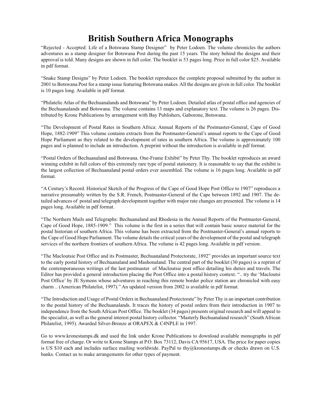"Rejected - Accepted: Life of a Botswana Stamp Designer" by Peter Lodoen. The volume chronicles the authors adventures as a stamp designer for Botswana Post during the past 15 years. The story behind the designs and their approval is told. Many designs are shown in full color. The booklet is 53 pages long. Price in full color \$25. Available in pdf format.

"Snake Stamp Designs" by Peter Lodoen. The booklet reproduces the complete proposal submitted by the author in 2001 to Botswana Post for a stamp issue featuring Botswana snakes. All the designs are given in full color. The booklet is 10 pages long. Available in pdf format.

"Philatelic Atlas of the Bechuanalands and Botswana" by Peter Lodoen. Detailed atlas of postal office and agencies of the Bechuanalands and Botswana. The volume contains 13 maps and explanatory text. The volume is 26 pages. Distributed by Krone Publications by arrangement with Bay Publishers, Gaborone, Botswana.

"The Development of Postal Rates in Southern Africa: Annual Reports of the Postmaster-General, Cape of Good Hope, 1882-1909" This volume contains extracts from the Postmaster-General's annual reports to the Cape of Good Hope Parliament as they related to the development of rates in southern Africa. The volume is approximately 100 pages and is planned to include an introduction. A preprint without the introduction is available in pdf format.

"Postal Orders of Bechuanaland and Botswana. One-Frame Exhibit" by Peter Thy. The booklet reproduces an award winning exhibit in full colors of this extremely rare type of postal stationery. It is reasonable to say that the exhibit is the largest collection of Bechuanaland postal orders ever assembled. The volume is 16 pages long. Available in pdf format.

"A Century's Record. Historical Sketch of the Progress of the Cape of Good Hope Post Office to 1907" reproduces a narrative presumably written by the S.R. French, Postmaster-General of the Cape between 1892 and 1907. The detailed advances of postal and telegraph development together with major rate changes are presented. The volume is 14 pages long. Available in pdf format.

"The Northern Mails and Telegraphs: Bechuanaland and Rhodesia in the Annual Reports of the Postmaster-General, Cape of Good Hope, 1885-1909." This volume is the first in a series that will contain basic source material for the postal historian of southern Africa. This volume has been extracted from the Postmaster-General's annual reports to the Cape of Good Hope Parliament. The volume details the critical years of the development of the postal and telegraph services of the northern frontiers of southern Africa. The volume is 42 pages long. Available in pdf version.

"The Macloutsie Post Office and its Postmaster, Bechuanaland Protectorate, 1892" provides an important source text to the early postal history of Bechuanaland and Mashonaland. The central part of the booklet (30 pages) is a reprint of the contemporaneous writings of the last postmaster of Macloutsie post office detailing his duties and travels. The Editor has provided a general introduction placing the Post Office into a postal history context. ".. try the 'Macloutsi Post Office' by JE Symons whose adventures in reaching this remote border police station are chronicled with easy charm .. (American Philatelist, 1997)." An updated version from 2002 is available in pdf format.

"The Introduction and Usage of Postal Orders in Bechuanaland Protectorate" by Peter Thy is an important contribution to the postal history of the Bechuanalands. It traces the history of postal orders from their introduction in 1907 to independence from the South African Post Office. The booklet (34 pages) presents original research and will appeal to the specialist, as well as the general interest postal history collector. "Masterly Bechuanaland research" (South African Philatelist, 1995). Awarded Silver-Bronze at ORAPEX & C4NPLE in 1997.

Go to www.kronestamps.dk and used the link under Krone Publications to download available monographs in pdf format free of charge. Or write to Krone Stamps at P.O. Box 73112, Davis CA 95617, USA. The price for paper copies is US \$10 each and includes surface mailing worldwide. PayPal to thy@kronestamps.dk or checks drawn on U.S. banks. Contact us to make arrangements for other types of payment.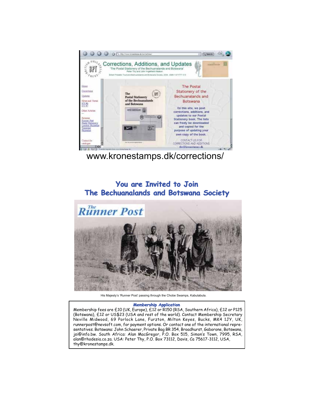

www.kronestamps.dk/corrections/

## **You are Invited to Join The Bechuanalands and Botswana Society**



His Majesty's 'Runner Post' passing through the Chobe Swamps, Kabulabula.

#### **Membership Application**

Membership fees are £10 (UK, Europe), £12 or R150 (RSA, Southern Africa), £12 or P125 (Botswana), £12 or US\$23 (USA and rest of the world). Contact Membership Secretary Neville Midwood, 69 Porlock Lane, Furzton, Milton Keyes, Bucks, MK4 1JY, UK, runnerpost@nevsoft.com, for payment options. Or contact one of the international representatives. Botswana: John Schaerer, Private Bag BR 354, Broadhurst, Gaborone, Botswana, jsi@info.bw. South Africa: Alan MacGregor, P.O. Box 515, Simon's Town, 7995, RSA, alan@rhodesia.co.za. USA: Peter Thy, P.O. Box 73112, Davis, Ca 75617-3112, USA, thy@kronestamps.dk.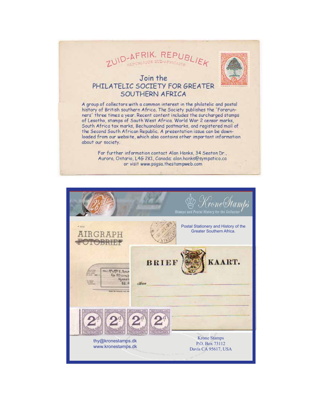



### Join the PHILATELIC SOCIETY FOR GREATER SOUTHERN AFRICA

A group of collectors with a common interest in the philatelic and postal history of British southern Africa. The Society publishes the 'Forerunners' three times a year. Recent content includes the surcharged stamps of Lesotho, stamps of South West Africa. World War 2 censor marks, South Africa tax marks, Bechuanaland postmarks, and registered mail of the Second South African Republic. A presentation issue can be downloaded from our website, which also contains other important information about our society.

> For further information contact Alan Hanks, 34 Seaton Dr., Aurora, Ontario, L4G 2K1, Canada: alan.hanks@sympatico.ca or visit www.psgsa.thestampweb.com